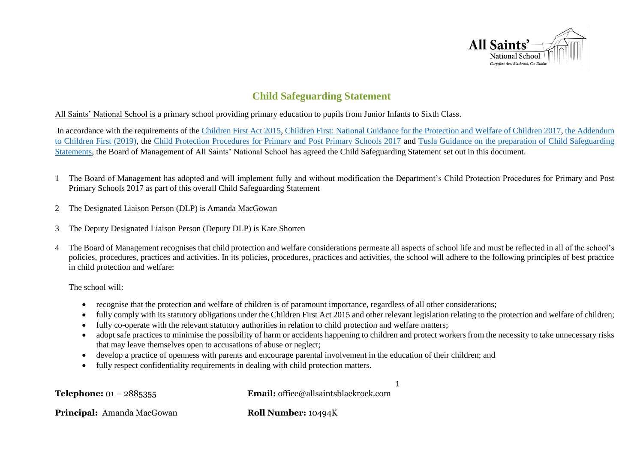

# **Child Safeguarding Statement**

All Saints' National School is a primary school providing primary education to pupils from Junior Infants to Sixth Class.

In accordance with the requirements of th[e Children First Act 2015,](http://www.irishstatutebook.ie/eli/2015/act/36/enacted/en/pdf) [Children First: National Guidance for the Protection and Welfare of Children 2017,](https://assets.gov.ie/25844/b90aafa55804462f84d05f87f0ca2bf6.pdf) [the Addendum](https://assets.gov.ie/25819/c9744b64dfd6447985eeffa5c0d71bbb.pdf)  [to Children First \(2019\),](https://assets.gov.ie/25819/c9744b64dfd6447985eeffa5c0d71bbb.pdf) the [Child Protection Procedures for Primary and Post Primary Schools 2017](https://www.gov.ie/pdf/?file=https://assets.gov.ie/45063/2d4b5b3d781e4ec1ab4f3e5d198717d9.pdf#page=1) and [Tusla Guidance on the preparation of Child Safeguarding](https://www.tusla.ie/uploads/content/4214-TUSLA_Guidance_on_Developing_a_CSS_LR.PDF)  [Statements,](https://www.tusla.ie/uploads/content/4214-TUSLA_Guidance_on_Developing_a_CSS_LR.PDF) the Board of Management of All Saints' National School has agreed the Child Safeguarding Statement set out in this document.

- 1 The Board of Management has adopted and will implement fully and without modification the Department's Child Protection Procedures for Primary and Post Primary Schools 2017 as part of this overall Child Safeguarding Statement
- 2 The Designated Liaison Person (DLP) is Amanda MacGowan
- 3 The Deputy Designated Liaison Person (Deputy DLP) is Kate Shorten
- 4 The Board of Management recognises that child protection and welfare considerations permeate all aspects of school life and must be reflected in all of the school's policies, procedures, practices and activities. In its policies, procedures, practices and activities, the school will adhere to the following principles of best practice in child protection and welfare:

The school will:

- recognise that the protection and welfare of children is of paramount importance, regardless of all other considerations;
- fully comply with its statutory obligations under the Children First Act 2015 and other relevant legislation relating to the protection and welfare of children;
- fully co-operate with the relevant statutory authorities in relation to child protection and welfare matters;
- adopt safe practices to minimise the possibility of harm or accidents happening to children and protect workers from the necessity to take unnecessary risks that may leave themselves open to accusations of abuse or neglect;

1

- develop a practice of openness with parents and encourage parental involvement in the education of their children; and
- fully respect confidentiality requirements in dealing with child protection matters.

**Telephone:** 01 – 2885355 **Email:** office@allsaintsblackrock.com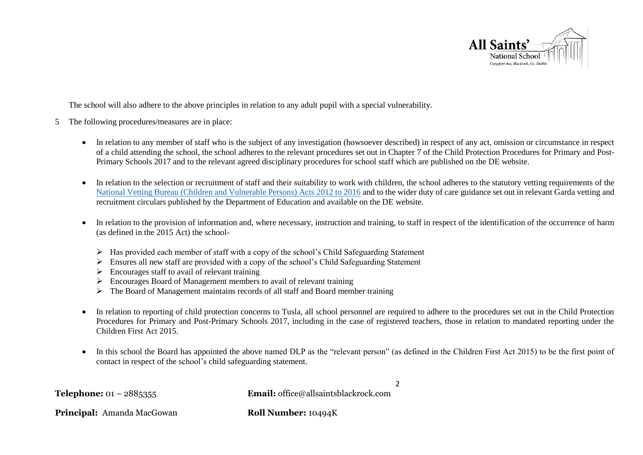

The school will also adhere to the above principles in relation to any adult pupil with a special vulnerability.

- 5 The following procedures/measures are in place:
	- In relation to any member of staff who is the subject of any investigation (howsoever described) in respect of any act, omission or circumstance in respect of a child attending the school, the school adheres to the relevant procedures set out in Chapter 7 of the Child Protection Procedures for Primary and Post-Primary Schools 2017 and to the relevant agreed disciplinary procedures for school staff which are published on the DE website.
	- In relation to the selection or recruitment of staff and their suitability to work with children, the school adheres to the statutory vetting requirements of the [National Vetting Bureau \(Children and Vulnerable Persons\) Acts 2012 to 2016](https://revisedacts.lawreform.ie/eli/2012/act/47/revised/en/pdf) and to the wider duty of care guidance set out in relevant Garda vetting and recruitment circulars published by the Department of Education and available on the DE website.
	- In relation to the provision of information and, where necessary, instruction and training, to staff in respect of the identification of the occurrence of harm (as defined in the 2015 Act) the school-
		- $\triangleright$  Has provided each member of staff with a copy of the school's Child Safeguarding Statement
		- $\triangleright$  Ensures all new staff are provided with a copy of the school's Child Safeguarding Statement
		- $\triangleright$  Encourages staff to avail of relevant training
		- $\triangleright$  Encourages Board of Management members to avail of relevant training
		- $\triangleright$  The Board of Management maintains records of all staff and Board member training
	- In relation to reporting of child protection concerns to Tusla, all school personnel are required to adhere to the procedures set out in the Child Protection Procedures for Primary and Post-Primary Schools 2017, including in the case of registered teachers, those in relation to mandated reporting under the Children First Act 2015.
	- In this school the Board has appointed the above named DLP as the "relevant person" (as defined in the Children First Act 2015) to be the first point of contact in respect of the school's child safeguarding statement.

2

**Telephone:** 01 – 2885355 **Email:** office@allsaintsblackrock.com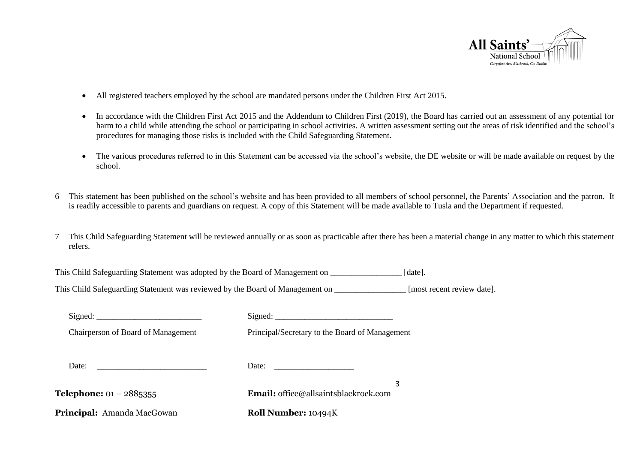

- All registered teachers employed by the school are mandated persons under the Children First Act 2015.
- In accordance with the Children First Act 2015 and the Addendum to Children First (2019), the Board has carried out an assessment of any potential for harm to a child while attending the school or participating in school activities. A written assessment setting out the areas of risk identified and the school's procedures for managing those risks is included with the Child Safeguarding Statement.
- The various procedures referred to in this Statement can be accessed via the school's website, the DE website or will be made available on request by the school.
- 6 This statement has been published on the school's website and has been provided to all members of school personnel, the Parents' Association and the patron. It is readily accessible to parents and guardians on request. A copy of this Statement will be made available to Tusla and the Department if requested.
- 7 This Child Safeguarding Statement will be reviewed annually or as soon as practicable after there has been a material change in any matter to which this statement refers.

This Child Safeguarding Statement was adopted by the Board of Management on \_\_\_\_\_\_\_\_\_\_\_\_\_\_\_\_\_ [date].

This Child Safeguarding Statement was reviewed by the Board of Management on **Figure** [most recent review date].

| Chairperson of Board of Management | Principal/Secretary to the Board of Management           |
|------------------------------------|----------------------------------------------------------|
| Date:                              | Date: $\frac{1}{\sqrt{1-\frac{1}{2}} \cdot \frac{1}{2}}$ |
| <b>Telephone:</b> $01 - 2885355$   | 3<br><b>Email:</b> office@allsaintsblackrock.com         |
| Principal: Amanda MacGowan         | <b>Roll Number: 10494K</b>                               |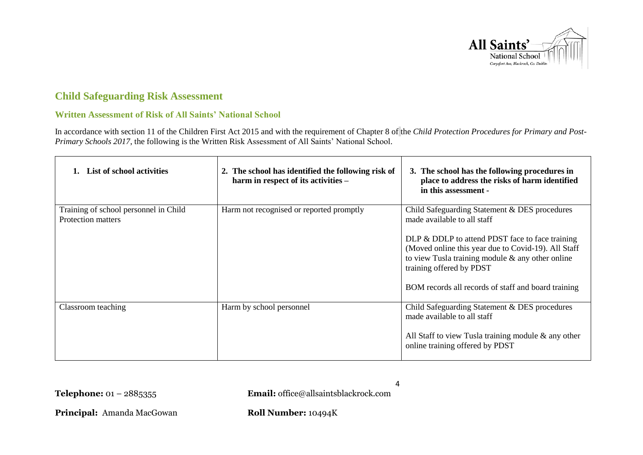

# **Child Safeguarding Risk Assessment**

#### **Written Assessment of Risk of All Saints' National School**

In accordance with section 11 of the Children First Act 2015 and with the requirement of Chapter 8 of the *Child Protection Procedures for Primary and Post-Primary Schools 2017*, the following is the Written Risk Assessment of All Saints' National School.

| 1. List of school activities                                | 2. The school has identified the following risk of<br>harm in respect of its activities - | 3. The school has the following procedures in<br>place to address the risks of harm identified<br>in this assessment -                                                                                                                           |
|-------------------------------------------------------------|-------------------------------------------------------------------------------------------|--------------------------------------------------------------------------------------------------------------------------------------------------------------------------------------------------------------------------------------------------|
| Training of school personnel in Child<br>Protection matters | Harm not recognised or reported promptly                                                  | Child Safeguarding Statement & DES procedures<br>made available to all staff                                                                                                                                                                     |
|                                                             |                                                                                           | DLP & DDLP to attend PDST face to face training<br>(Moved online this year due to Covid-19). All Staff<br>to view Tusla training module $\&$ any other online<br>training offered by PDST<br>BOM records all records of staff and board training |
| Classroom teaching                                          | Harm by school personnel                                                                  | Child Safeguarding Statement & DES procedures<br>made available to all staff<br>All Staff to view Tusla training module $\&$ any other<br>online training offered by PDST                                                                        |

**Telephone:** 01 – 2885355 **Email:** office@allsaintsblackrock.com

4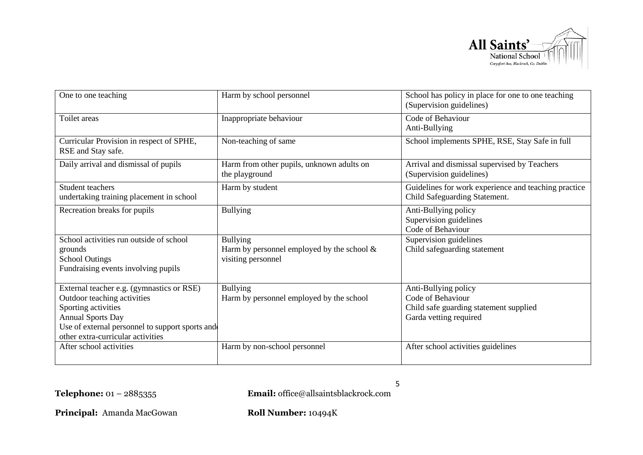

| One to one teaching                                                                                                                                                                                                 | Harm by school personnel                                                               | School has policy in place for one to one teaching<br>(Supervision guidelines)                                |
|---------------------------------------------------------------------------------------------------------------------------------------------------------------------------------------------------------------------|----------------------------------------------------------------------------------------|---------------------------------------------------------------------------------------------------------------|
| Toilet areas                                                                                                                                                                                                        | Inappropriate behaviour                                                                | Code of Behaviour<br>Anti-Bullying                                                                            |
| Curricular Provision in respect of SPHE,<br>RSE and Stay safe.                                                                                                                                                      | Non-teaching of same                                                                   | School implements SPHE, RSE, Stay Safe in full                                                                |
| Daily arrival and dismissal of pupils                                                                                                                                                                               | Harm from other pupils, unknown adults on<br>the playground                            | Arrival and dismissal supervised by Teachers<br>(Supervision guidelines)                                      |
| Student teachers<br>undertaking training placement in school                                                                                                                                                        | Harm by student                                                                        | Guidelines for work experience and teaching practice<br>Child Safeguarding Statement.                         |
| Recreation breaks for pupils                                                                                                                                                                                        | <b>Bullying</b>                                                                        | Anti-Bullying policy<br>Supervision guidelines<br>Code of Behaviour                                           |
| School activities run outside of school<br>grounds<br><b>School Outings</b><br>Fundraising events involving pupils                                                                                                  | <b>Bullying</b><br>Harm by personnel employed by the school $\&$<br>visiting personnel | Supervision guidelines<br>Child safeguarding statement                                                        |
| External teacher e.g. (gymnastics or RSE)<br>Outdoor teaching activities<br>Sporting activities<br><b>Annual Sports Day</b><br>Use of external personnel to support sports and<br>other extra-curricular activities | <b>Bullying</b><br>Harm by personnel employed by the school                            | Anti-Bullying policy<br>Code of Behaviour<br>Child safe guarding statement supplied<br>Garda vetting required |
| After school activities                                                                                                                                                                                             | Harm by non-school personnel                                                           | After school activities guidelines                                                                            |

5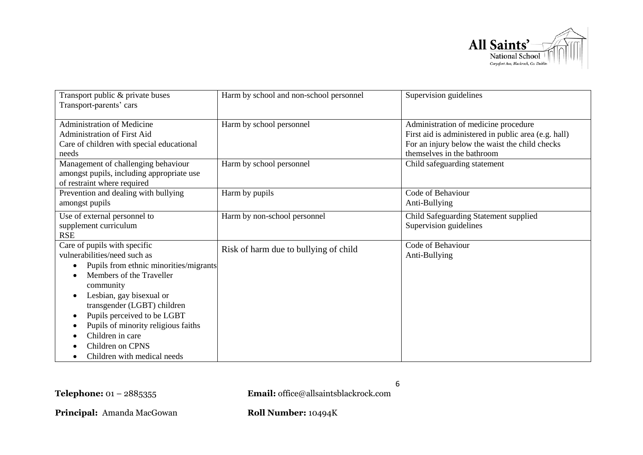

| Transport public & private buses            | Harm by school and non-school personnel | Supervision guidelines                                                                       |
|---------------------------------------------|-----------------------------------------|----------------------------------------------------------------------------------------------|
| Transport-parents' cars                     |                                         |                                                                                              |
| <b>Administration of Medicine</b>           |                                         |                                                                                              |
| <b>Administration of First Aid</b>          | Harm by school personnel                | Administration of medicine procedure<br>First aid is administered in public area (e.g. hall) |
| Care of children with special educational   |                                         | For an injury below the waist the child checks                                               |
| needs                                       |                                         | themselves in the bathroom                                                                   |
| Management of challenging behaviour         | Harm by school personnel                | Child safeguarding statement                                                                 |
| amongst pupils, including appropriate use   |                                         |                                                                                              |
| of restraint where required                 |                                         |                                                                                              |
| Prevention and dealing with bullying        | Harm by pupils                          | Code of Behaviour                                                                            |
| amongst pupils                              |                                         | Anti-Bullying                                                                                |
| Use of external personnel to                | Harm by non-school personnel            | Child Safeguarding Statement supplied                                                        |
| supplement curriculum                       |                                         | Supervision guidelines                                                                       |
| <b>RSE</b>                                  |                                         |                                                                                              |
| Care of pupils with specific                | Risk of harm due to bullying of child   | Code of Behaviour                                                                            |
| vulnerabilities/need such as                |                                         | Anti-Bullying                                                                                |
| Pupils from ethnic minorities/migrants<br>٠ |                                         |                                                                                              |
| Members of the Traveller                    |                                         |                                                                                              |
| community                                   |                                         |                                                                                              |
| Lesbian, gay bisexual or<br>$\bullet$       |                                         |                                                                                              |
| transgender (LGBT) children                 |                                         |                                                                                              |
| Pupils perceived to be LGBT                 |                                         |                                                                                              |
| Pupils of minority religious faiths         |                                         |                                                                                              |
| Children in care                            |                                         |                                                                                              |
| Children on CPNS                            |                                         |                                                                                              |
| Children with medical needs                 |                                         |                                                                                              |

6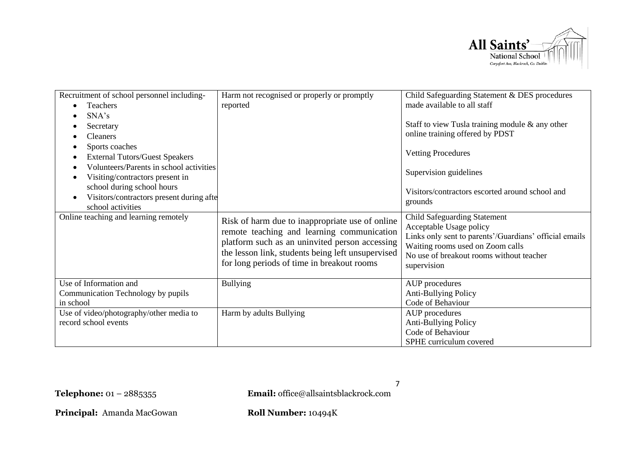

| Recruitment of school personnel including-<br>Teachers<br>$\bullet$<br>SNA's<br>Secretary<br><b>Cleaners</b><br>Sports coaches<br><b>External Tutors/Guest Speakers</b><br>٠<br>Volunteers/Parents in school activities<br>Visiting/contractors present in<br>school during school hours<br>Visitors/contractors present during afte<br>$\bullet$<br>school activities<br>Online teaching and learning remotely | Harm not recognised or properly or promptly<br>reported<br>Risk of harm due to inappropriate use of online<br>remote teaching and learning communication<br>platform such as an uninvited person accessing<br>the lesson link, students being left unsupervised<br>for long periods of time in breakout rooms | Child Safeguarding Statement & DES procedures<br>made available to all staff<br>Staff to view Tusla training module & any other<br>online training offered by PDST<br><b>Vetting Procedures</b><br>Supervision guidelines<br>Visitors/contractors escorted around school and<br>grounds<br><b>Child Safeguarding Statement</b><br>Acceptable Usage policy<br>Links only sent to parents'/Guardians' official emails<br>Waiting rooms used on Zoom calls<br>No use of breakout rooms without teacher |
|-----------------------------------------------------------------------------------------------------------------------------------------------------------------------------------------------------------------------------------------------------------------------------------------------------------------------------------------------------------------------------------------------------------------|---------------------------------------------------------------------------------------------------------------------------------------------------------------------------------------------------------------------------------------------------------------------------------------------------------------|-----------------------------------------------------------------------------------------------------------------------------------------------------------------------------------------------------------------------------------------------------------------------------------------------------------------------------------------------------------------------------------------------------------------------------------------------------------------------------------------------------|
|                                                                                                                                                                                                                                                                                                                                                                                                                 |                                                                                                                                                                                                                                                                                                               | supervision                                                                                                                                                                                                                                                                                                                                                                                                                                                                                         |
| Use of Information and<br>Communication Technology by pupils<br>in school                                                                                                                                                                                                                                                                                                                                       | <b>Bullying</b>                                                                                                                                                                                                                                                                                               | AUP procedures<br>Anti-Bullying Policy<br>Code of Behaviour                                                                                                                                                                                                                                                                                                                                                                                                                                         |
| Use of video/photography/other media to<br>record school events                                                                                                                                                                                                                                                                                                                                                 | Harm by adults Bullying                                                                                                                                                                                                                                                                                       | AUP procedures<br>Anti-Bullying Policy<br>Code of Behaviour<br>SPHE curriculum covered                                                                                                                                                                                                                                                                                                                                                                                                              |

7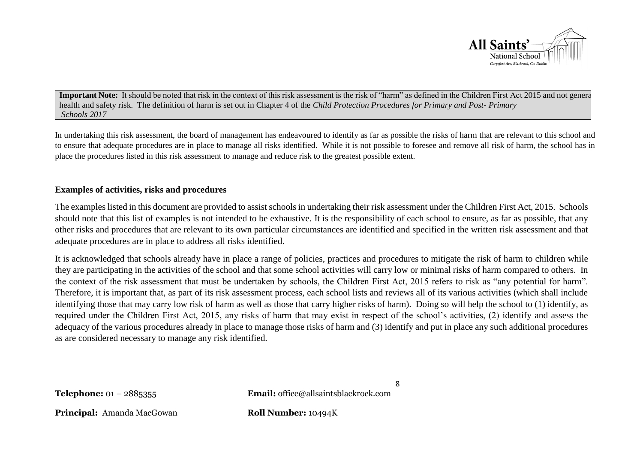

**Important Note:** It should be noted that risk in the context of this risk assessment is the risk of "harm" as defined in the Children First Act 2015 and not general health and safety risk. The definition of harm is set out in Chapter 4 of the *Child Protection Procedures for Primary and Post- Primary Schools 2017*

In undertaking this risk assessment, the board of management has endeavoured to identify as far as possible the risks of harm that are relevant to this school and to ensure that adequate procedures are in place to manage all risks identified. While it is not possible to foresee and remove all risk of harm, the school has in place the procedures listed in this risk assessment to manage and reduce risk to the greatest possible extent.

#### **Examples of activities, risks and procedures**

The examples listed in this document are provided to assist schools in undertaking their risk assessment under the Children First Act, 2015. Schools should note that this list of examples is not intended to be exhaustive. It is the responsibility of each school to ensure, as far as possible, that any other risks and procedures that are relevant to its own particular circumstances are identified and specified in the written risk assessment and that adequate procedures are in place to address all risks identified.

It is acknowledged that schools already have in place a range of policies, practices and procedures to mitigate the risk of harm to children while they are participating in the activities of the school and that some school activities will carry low or minimal risks of harm compared to others. In the context of the risk assessment that must be undertaken by schools, the Children First Act, 2015 refers to risk as "any potential for harm". Therefore, it is important that, as part of its risk assessment process, each school lists and reviews all of its various activities (which shall include identifying those that may carry low risk of harm as well as those that carry higher risks of harm). Doing so will help the school to (1) identify, as required under the Children First Act, 2015, any risks of harm that may exist in respect of the school's activities, (2) identify and assess the adequacy of the various procedures already in place to manage those risks of harm and (3) identify and put in place any such additional procedures as are considered necessary to manage any risk identified.

**Telephone:** 01 – 2885355 **Email:** office@allsaintsblackrock.com

8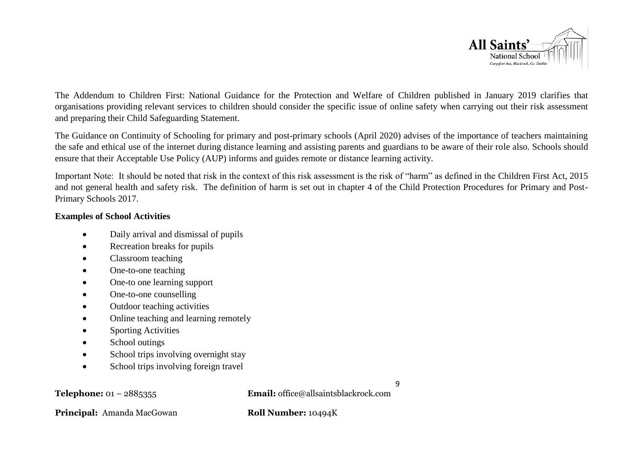

The Addendum to Children First: National Guidance for the Protection and Welfare of Children published in January 2019 clarifies that organisations providing relevant services to children should consider the specific issue of online safety when carrying out their risk assessment and preparing their Child Safeguarding Statement.

The Guidance on Continuity of Schooling for primary and post-primary schools (April 2020) advises of the importance of teachers maintaining the safe and ethical use of the internet during distance learning and assisting parents and guardians to be aware of their role also. Schools should ensure that their Acceptable Use Policy (AUP) informs and guides remote or distance learning activity.

Important Note: It should be noted that risk in the context of this risk assessment is the risk of "harm" as defined in the Children First Act, 2015 and not general health and safety risk. The definition of harm is set out in chapter 4 of the Child Protection Procedures for Primary and Post-Primary Schools 2017.

## **Examples of School Activities**

- Daily arrival and dismissal of pupils
- Recreation breaks for pupils
- Classroom teaching
- One-to-one teaching
- One-to one learning support
- One-to-one counselling
- Outdoor teaching activities
- Online teaching and learning remotely
- Sporting Activities
- School outings
- School trips involving overnight stay
- School trips involving foreign travel

9

**Telephone:** 01 – 2885355 **Email:** office@allsaintsblackrock.com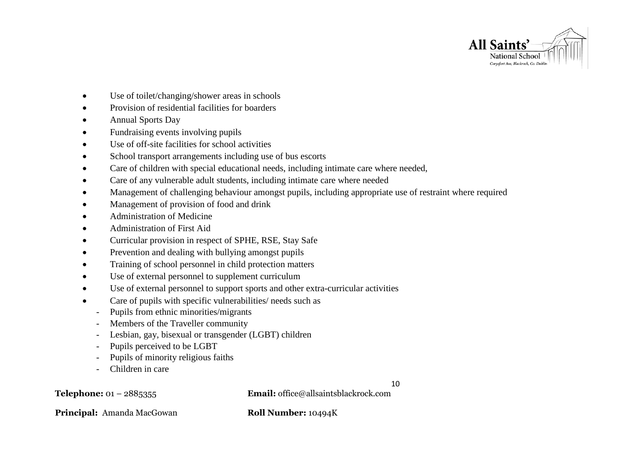

- Use of toilet/changing/shower areas in schools
- Provision of residential facilities for boarders
- Annual Sports Day
- Fundraising events involving pupils
- Use of off-site facilities for school activities
- School transport arrangements including use of bus escorts
- Care of children with special educational needs, including intimate care where needed,
- Care of any vulnerable adult students, including intimate care where needed
- Management of challenging behaviour amongst pupils, including appropriate use of restraint where required
- Management of provision of food and drink
- Administration of Medicine
- Administration of First Aid
- Curricular provision in respect of SPHE, RSE, Stay Safe
- Prevention and dealing with bullying amongst pupils
- Training of school personnel in child protection matters
- Use of external personnel to supplement curriculum
- Use of external personnel to support sports and other extra-curricular activities
- Care of pupils with specific vulnerabilities/ needs such as
	- Pupils from ethnic minorities/migrants
	- Members of the Traveller community
	- Lesbian, gay, bisexual or transgender (LGBT) children
	- Pupils perceived to be LGBT
	- Pupils of minority religious faiths
	- Children in care

10

**Telephone:** 01 – 2885355 **Email:** office@allsaintsblackrock.com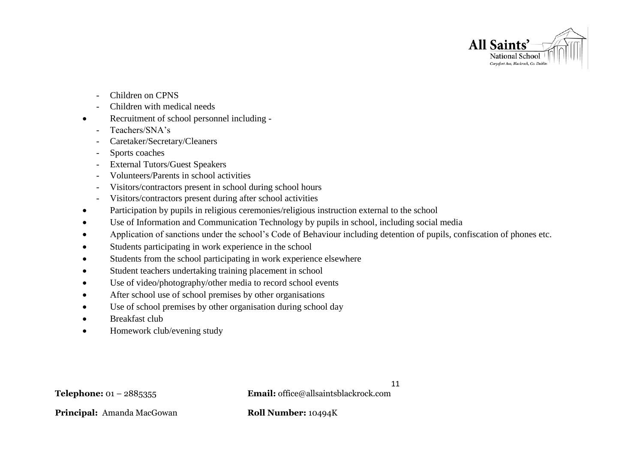

- Children on CPNS
- Children with medical needs
- Recruitment of school personnel including
	- Teachers/SNA's
	- Caretaker/Secretary/Cleaners
	- Sports coaches
	- External Tutors/Guest Speakers
	- Volunteers/Parents in school activities
	- Visitors/contractors present in school during school hours
	- Visitors/contractors present during after school activities
- Participation by pupils in religious ceremonies/religious instruction external to the school
- Use of Information and Communication Technology by pupils in school, including social media
- Application of sanctions under the school's Code of Behaviour including detention of pupils, confiscation of phones etc.
- Students participating in work experience in the school
- Students from the school participating in work experience elsewhere
- Student teachers undertaking training placement in school
- Use of video/photography/other media to record school events
- After school use of school premises by other organisations
- Use of school premises by other organisation during school day
- Breakfast club
- Homework club/evening study

11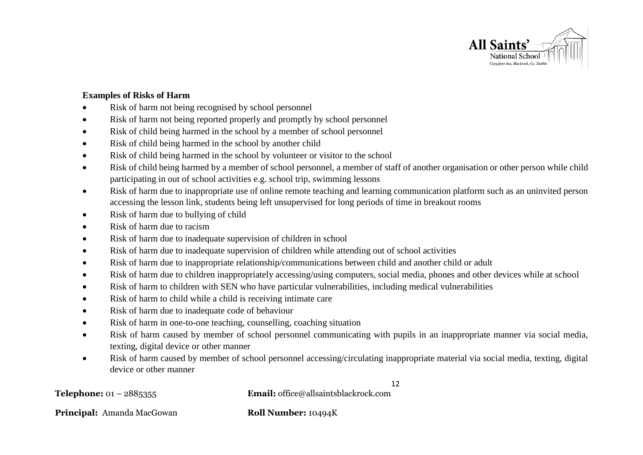

## **Examples of Risks of Harm**

- Risk of harm not being recognised by school personnel
- Risk of harm not being reported properly and promptly by school personnel
- Risk of child being harmed in the school by a member of school personnel
- Risk of child being harmed in the school by another child
- Risk of child being harmed in the school by volunteer or visitor to the school
- Risk of child being harmed by a member of school personnel, a member of staff of another organisation or other person while child participating in out of school activities e.g. school trip, swimming lessons
- Risk of harm due to inappropriate use of online remote teaching and learning communication platform such as an uninvited person accessing the lesson link, students being left unsupervised for long periods of time in breakout rooms
- Risk of harm due to bullying of child
- Risk of harm due to racism
- Risk of harm due to inadequate supervision of children in school
- Risk of harm due to inadequate supervision of children while attending out of school activities
- Risk of harm due to inappropriate relationship/communications between child and another child or adult
- Risk of harm due to children inappropriately accessing/using computers, social media, phones and other devices while at school
- Risk of harm to children with SEN who have particular vulnerabilities, including medical vulnerabilities
- Risk of harm to child while a child is receiving intimate care
- Risk of harm due to inadequate code of behaviour
- Risk of harm in one-to-one teaching, counselling, coaching situation
- Risk of harm caused by member of school personnel communicating with pupils in an inappropriate manner via social media, texting, digital device or other manner
- Risk of harm caused by member of school personnel accessing/circulating inappropriate material via social media, texting, digital device or other manner

12

**Telephone:** 01 – 2885355 **Email:** office@allsaintsblackrock.com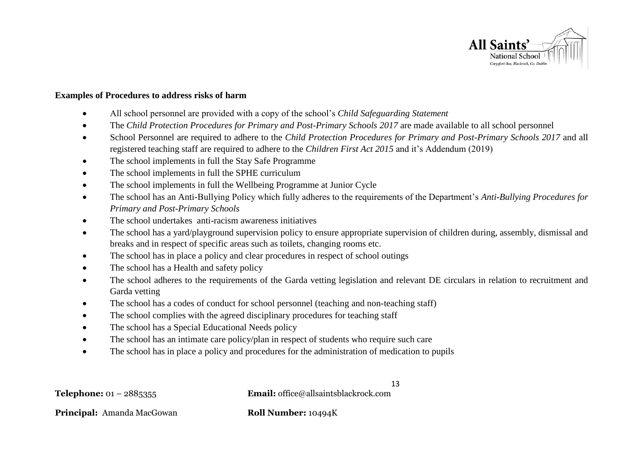

#### **Examples of Procedures to address risks of harm**

- All school personnel are provided with a copy of the school's *Child Safeguarding Statement*
- The *Child Protection Procedures for Primary and Post-Primary Schools 2017* are made available to all school personnel
- School Personnel are required to adhere to the *Child Protection Procedures for Primary and Post-Primary Schools 2017* and all registered teaching staff are required to adhere to the *Children First Act 2015* and it's Addendum (2019)
- The school implements in full the Stay Safe Programme
- The school implements in full the SPHE curriculum
- The school implements in full the Wellbeing Programme at Junior Cycle
- The school has an Anti-Bullying Policy which fully adheres to the requirements of the Department's *Anti-Bullying Procedures for Primary and Post-Primary Schools*
- The school undertakes anti-racism awareness initiatives
- The school has a yard/playground supervision policy to ensure appropriate supervision of children during, assembly, dismissal and breaks and in respect of specific areas such as toilets, changing rooms etc.
- The school has in place a policy and clear procedures in respect of school outings
- The school has a Health and safety policy
- The school adheres to the requirements of the Garda vetting legislation and relevant DE circulars in relation to recruitment and Garda vetting
- The school has a codes of conduct for school personnel (teaching and non-teaching staff)
- The school complies with the agreed disciplinary procedures for teaching staff
- The school has a Special Educational Needs policy
- The school has an intimate care policy/plan in respect of students who require such care
- The school has in place a policy and procedures for the administration of medication to pupils

13 **Telephone:** 01 – 2885355 **Email:** office@allsaintsblackrock.com